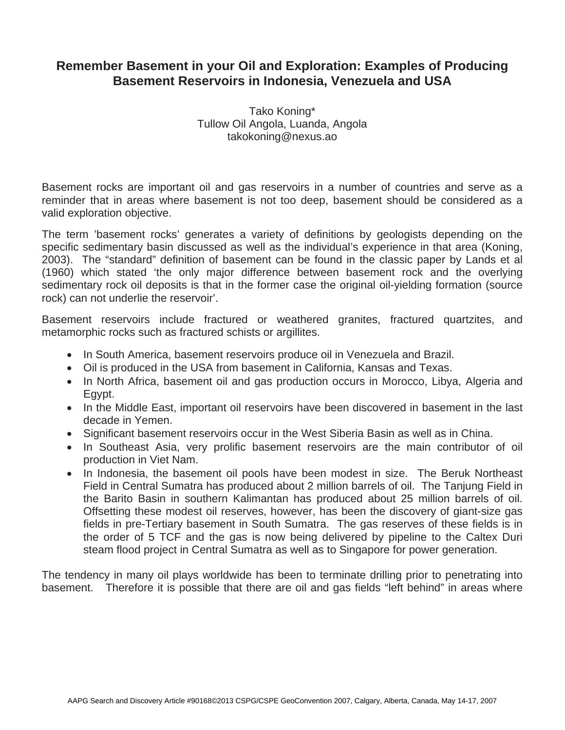## **Remember Basement in your Oil and Exploration: Examples of Producing Basement Reservoirs in Indonesia, Venezuela and USA**

Tako Koning\* Tullow Oil Angola, Luanda, Angola takokoning@nexus.ao

Basement rocks are important oil and gas reservoirs in a number of countries and serve as a reminder that in areas where basement is not too deep, basement should be considered as a valid exploration objective.

The term 'basement rocks' generates a variety of definitions by geologists depending on the specific sedimentary basin discussed as well as the individual's experience in that area (Koning, 2003). The "standard" definition of basement can be found in the classic paper by Lands et al (1960) which stated 'the only major difference between basement rock and the overlying sedimentary rock oil deposits is that in the former case the original oil-yielding formation (source rock) can not underlie the reservoir'.

Basement reservoirs include fractured or weathered granites, fractured quartzites, and metamorphic rocks such as fractured schists or argillites.

- In South America, basement reservoirs produce oil in Venezuela and Brazil.
- Oil is produced in the USA from basement in California, Kansas and Texas.
- In North Africa, basement oil and gas production occurs in Morocco, Libya, Algeria and Egypt.
- In the Middle East, important oil reservoirs have been discovered in basement in the last decade in Yemen.
- Significant basement reservoirs occur in the West Siberia Basin as well as in China.
- In Southeast Asia, very prolific basement reservoirs are the main contributor of oil production in Viet Nam.
- In Indonesia, the basement oil pools have been modest in size. The Beruk Northeast Field in Central Sumatra has produced about 2 million barrels of oil. The Tanjung Field in the Barito Basin in southern Kalimantan has produced about 25 million barrels of oil. Offsetting these modest oil reserves, however, has been the discovery of giant-size gas fields in pre-Tertiary basement in South Sumatra. The gas reserves of these fields is in the order of 5 TCF and the gas is now being delivered by pipeline to the Caltex Duri steam flood project in Central Sumatra as well as to Singapore for power generation.

The tendency in many oil plays worldwide has been to terminate drilling prior to penetrating into basement. Therefore it is possible that there are oil and gas fields "left behind" in areas where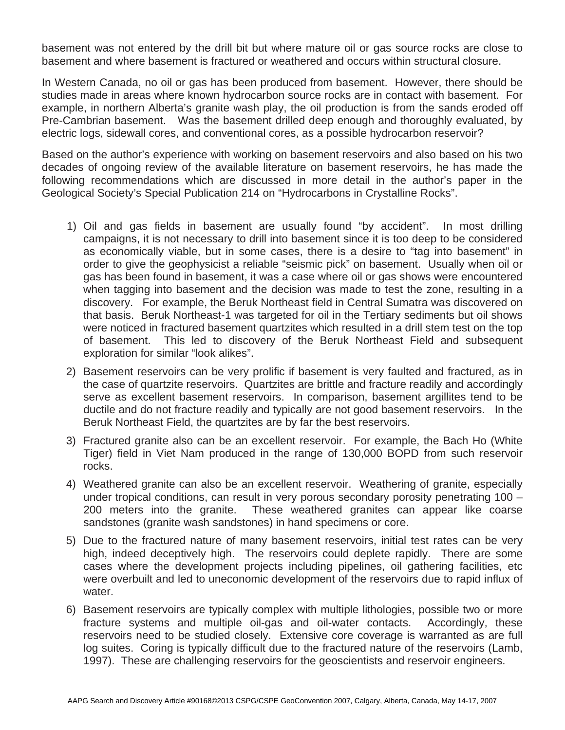basement was not entered by the drill bit but where mature oil or gas source rocks are close to basement and where basement is fractured or weathered and occurs within structural closure.

In Western Canada, no oil or gas has been produced from basement. However, there should be studies made in areas where known hydrocarbon source rocks are in contact with basement. For example, in northern Alberta's granite wash play, the oil production is from the sands eroded off Pre-Cambrian basement. Was the basement drilled deep enough and thoroughly evaluated, by electric logs, sidewall cores, and conventional cores, as a possible hydrocarbon reservoir?

Based on the author's experience with working on basement reservoirs and also based on his two decades of ongoing review of the available literature on basement reservoirs, he has made the following recommendations which are discussed in more detail in the author's paper in the Geological Society's Special Publication 214 on "Hydrocarbons in Crystalline Rocks".

- 1) Oil and gas fields in basement are usually found "by accident". In most drilling campaigns, it is not necessary to drill into basement since it is too deep to be considered as economically viable, but in some cases, there is a desire to "tag into basement" in order to give the geophysicist a reliable "seismic pick" on basement. Usually when oil or gas has been found in basement, it was a case where oil or gas shows were encountered when tagging into basement and the decision was made to test the zone, resulting in a discovery. For example, the Beruk Northeast field in Central Sumatra was discovered on that basis. Beruk Northeast-1 was targeted for oil in the Tertiary sediments but oil shows were noticed in fractured basement quartzites which resulted in a drill stem test on the top of basement. This led to discovery of the Beruk Northeast Field and subsequent exploration for similar "look alikes".
- 2) Basement reservoirs can be very prolific if basement is very faulted and fractured, as in the case of quartzite reservoirs. Quartzites are brittle and fracture readily and accordingly serve as excellent basement reservoirs. In comparison, basement argillites tend to be ductile and do not fracture readily and typically are not good basement reservoirs. In the Beruk Northeast Field, the quartzites are by far the best reservoirs.
- 3) Fractured granite also can be an excellent reservoir. For example, the Bach Ho (White Tiger) field in Viet Nam produced in the range of 130,000 BOPD from such reservoir rocks.
- 4) Weathered granite can also be an excellent reservoir. Weathering of granite, especially under tropical conditions, can result in very porous secondary porosity penetrating 100 – 200 meters into the granite. These weathered granites can appear like coarse sandstones (granite wash sandstones) in hand specimens or core.
- 5) Due to the fractured nature of many basement reservoirs, initial test rates can be very high, indeed deceptively high. The reservoirs could deplete rapidly. There are some cases where the development projects including pipelines, oil gathering facilities, etc were overbuilt and led to uneconomic development of the reservoirs due to rapid influx of water.
- 6) Basement reservoirs are typically complex with multiple lithologies, possible two or more fracture systems and multiple oil-gas and oil-water contacts. Accordingly, these reservoirs need to be studied closely. Extensive core coverage is warranted as are full log suites. Coring is typically difficult due to the fractured nature of the reservoirs (Lamb, 1997). These are challenging reservoirs for the geoscientists and reservoir engineers.